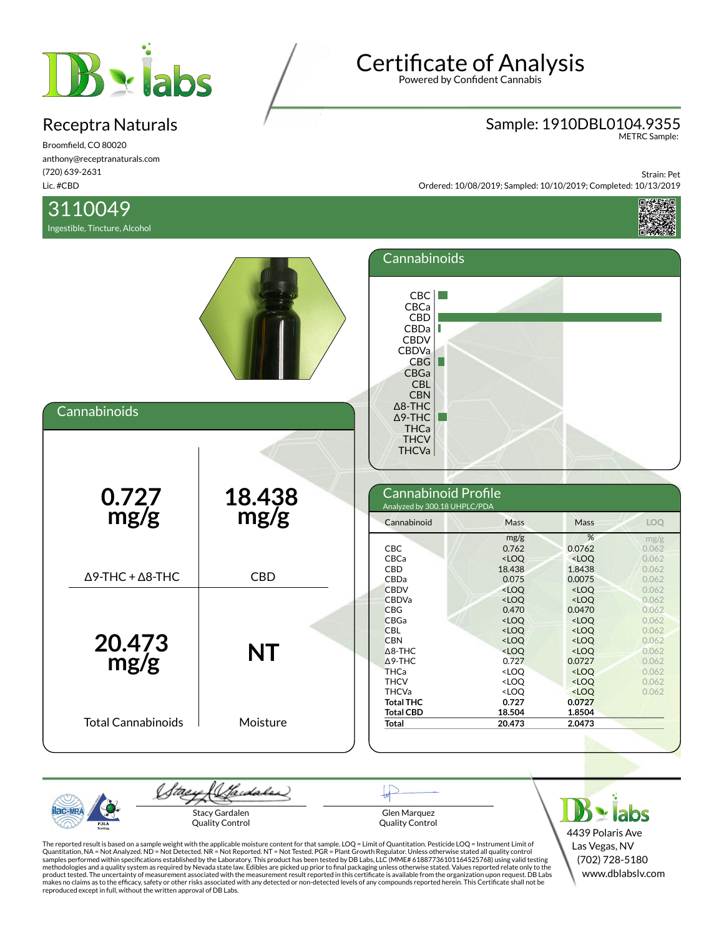

Broomfield, CO 80020 anthony@receptranaturals.com (720) 639-2631 Lic. #CBD

## 3110049

Ingestible, Tincture, Alcohol

Sample: 1910DBL0104.9355 METRC Sample:

Strain: Pet Ordered: 10/08/2019; Sampled: 10/10/2019; Completed: 10/13/2019



| Cannabinoids                    |                | Cannabinoids<br>CBC<br>CBCa<br>CBD<br>CBDa<br><b>CBDV</b><br>CBDVa<br>CBG<br>L<br>CBGa<br><b>CBL</b><br><b>CBN</b><br>$\Delta$ 8-THC<br>$\Delta$ 9-THC<br><b>THCa</b> |                                                                                                                            |                                                                                                                                                              |                                                                      |
|---------------------------------|----------------|-----------------------------------------------------------------------------------------------------------------------------------------------------------------------|----------------------------------------------------------------------------------------------------------------------------|--------------------------------------------------------------------------------------------------------------------------------------------------------------|----------------------------------------------------------------------|
| $0.727$<br>mg/g                 | 18.438<br>mg/g | <b>THCV</b><br><b>THCVa</b><br>Cannabinoid Profile<br>Analyzed by 300.18 UHPLC/PDA<br>Cannabinoid<br>CBC                                                              | Mass<br>mg/g<br>0.762                                                                                                      | Mass<br>%<br>0.0762                                                                                                                                          | LOQ<br>mg/g<br>0.062                                                 |
| $\Delta$ 9-THC + $\Delta$ 8-THC | <b>CBD</b>     | CBCa<br>CBD<br>CBDa<br><b>CBDV</b><br><b>CBDVa</b><br><b>CBG</b>                                                                                                      | $<$ LOQ<br>18.438<br>0.075<br>$<$ LOQ<br><loq<br>0.470</loq<br>                                                            | $<$ LOQ<br>1.8438<br>0.0075<br>$<$ LOQ<br>$<$ LOQ<br>0.0470                                                                                                  | 0.062<br>0.062<br>0.062<br>0.062<br>0.062<br>0.062                   |
| 20.473<br>mg/g                  | <b>NT</b>      | <b>CBGa</b><br><b>CBL</b><br><b>CBN</b><br>$\triangle$ 8-THC<br>$\triangle$ 9-THC<br><b>THCa</b><br><b>THCV</b><br><b>THCVa</b><br><b>Total THC</b>                   | $<$ LOQ<br>$<$ LOQ<br><loq<br><loq<br>0.727<br/><loq<br><loq<br><loq<br>0.727</loq<br></loq<br></loq<br></loq<br></loq<br> | $<$ LOQ<br>$<$ LOQ<br><loq<br><math>&lt;</math>LOQ<br/>0.0727<br/><math>&lt;</math>LOQ<br/><math>&lt;</math>LOQ<br/><math>&lt;</math>LOQ<br/>0.0727</loq<br> | 0.062<br>0.062<br>0.062<br>0.062<br>0.062<br>0.062<br>0.062<br>0.062 |
| <b>Total Cannabinoids</b>       | Moisture       | <b>Total CBD</b><br><b>Total</b>                                                                                                                                      | 18.504<br>20.473                                                                                                           | 1.8504<br>2.0473                                                                                                                                             |                                                                      |

(Sadales) (tae Stacy Gardalen Quality Control

Glen Marquez Quality Control

 $B$  x labs 4439 Polaris Ave Las Vegas, NV (702) 728-5180 www.dblabslv.com

The reported result is based on a sample weight with the applicable moisture content for that sample. LOQ = Limit of Quantitation. Pesticide LOQ = Instrument Limit of Quantitation, NA = Not Analyzed. ND = Not Detected. NR = Not Reported. NT = Not Tested. PGR = Plant Growth Regulator. Unless otherwise stated all quality control<br>samples performed within specifications established by the L reproduced except in full, without the written approval of DB Labs.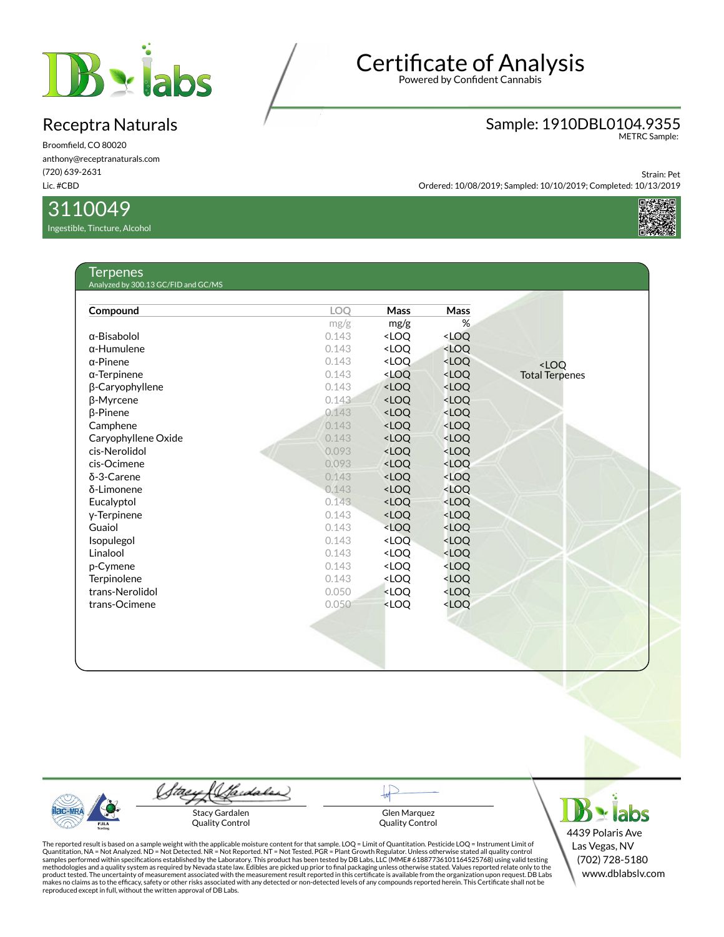

Broomfield, CO 80020 anthony@receptranaturals.com (720) 639-2631 Lic. #CBD

### 3110049

Ingestible, Tincture, Alcohol

# Certificate of Analysis

Powered by Confident Cannabis

# Sample: 1910DBL0104.9355 METRC Sample:

Strain: Pet Ordered: 10/08/2019; Sampled: 10/10/2019; Completed: 10/13/2019



#### **Terpenes** Analyzed by 300.13 GC/FID and GC/MS

| Compound            | <b>LOO</b> | <b>Mass</b>                                                                   | Mass                                              |                       |
|---------------------|------------|-------------------------------------------------------------------------------|---------------------------------------------------|-----------------------|
|                     | mg/g       | mg/g                                                                          | %                                                 |                       |
| $\alpha$ -Bisabolol | 0.143      | <loq< td=""><td><loq< td=""><td></td></loq<></td></loq<>                      | <loq< td=""><td></td></loq<>                      |                       |
| $\alpha$ -Humulene  | 0.143      | <loq< td=""><td><loq< td=""><td></td></loq<></td></loq<>                      | <loq< td=""><td></td></loq<>                      |                       |
| $\alpha$ -Pinene    | 0.143      | <loo< td=""><td><loq< td=""><td><math>&lt;</math>LOO</td></loq<></td></loo<>  | <loq< td=""><td><math>&lt;</math>LOO</td></loq<>  | $<$ LOO               |
| $\alpha$ -Terpinene | 0.143      | <loq< td=""><td><loq< td=""><td><b>Total Terpenes</b></td></loq<></td></loq<> | <loq< td=""><td><b>Total Terpenes</b></td></loq<> | <b>Total Terpenes</b> |
| β-Caryophyllene     | 0.143      | <loq< td=""><td><loq< td=""><td></td></loq<></td></loq<>                      | <loq< td=""><td></td></loq<>                      |                       |
| β-Myrcene           | 0.143      | <loq< td=""><td><loq< td=""><td></td></loq<></td></loq<>                      | <loq< td=""><td></td></loq<>                      |                       |
| <b>B-Pinene</b>     | 0.143      | <loq< td=""><td><loq< td=""><td></td></loq<></td></loq<>                      | <loq< td=""><td></td></loq<>                      |                       |
| Camphene            | 0.143      | <loq< td=""><td><loq< td=""><td></td></loq<></td></loq<>                      | <loq< td=""><td></td></loq<>                      |                       |
| Caryophyllene Oxide | 0.143      | <loq< td=""><td><loq< td=""><td></td></loq<></td></loq<>                      | <loq< td=""><td></td></loq<>                      |                       |
| cis-Nerolidol       | 0.093      | <loq< td=""><td><loq< td=""><td></td></loq<></td></loq<>                      | <loq< td=""><td></td></loq<>                      |                       |
| cis-Ocimene         | 0.093      | <loq< td=""><td><loq< td=""><td></td></loq<></td></loq<>                      | <loq< td=""><td></td></loq<>                      |                       |
| $\delta$ -3-Carene  | 0.143      | <loq< td=""><td><loq< td=""><td></td></loq<></td></loq<>                      | <loq< td=""><td></td></loq<>                      |                       |
| δ-Limonene          | 0.143      | <loq< td=""><td><loq< td=""><td></td></loq<></td></loq<>                      | <loq< td=""><td></td></loq<>                      |                       |
| Eucalyptol          | 0.143      | <loq< td=""><td><loq< td=""><td></td></loq<></td></loq<>                      | <loq< td=""><td></td></loq<>                      |                       |
| y-Terpinene         | 0.143      | <loq< td=""><td><loq< td=""><td></td></loq<></td></loq<>                      | <loq< td=""><td></td></loq<>                      |                       |
| Guaiol              | 0.143      | <loq< td=""><td><math>&lt;</math>LOQ</td><td></td></loq<>                     | $<$ LOQ                                           |                       |
| Isopulegol          | 0.143      | <loq< td=""><td><loq< td=""><td></td></loq<></td></loq<>                      | <loq< td=""><td></td></loq<>                      |                       |
| Linalool            | 0.143      | <loq< td=""><td><loq< td=""><td></td></loq<></td></loq<>                      | <loq< td=""><td></td></loq<>                      |                       |
| p-Cymene            | 0.143      | <loq< td=""><td><loq< td=""><td></td></loq<></td></loq<>                      | <loq< td=""><td></td></loq<>                      |                       |
| Terpinolene         | 0.143      | <loq< td=""><td><loq< td=""><td></td></loq<></td></loq<>                      | <loq< td=""><td></td></loq<>                      |                       |
| trans-Nerolidol     | 0.050      | <loq< td=""><td><loq< td=""><td></td></loq<></td></loq<>                      | <loq< td=""><td></td></loq<>                      |                       |
| trans-Ocimene       | 0.050      | <loq< td=""><td><loq< td=""><td></td></loq<></td></loq<>                      | <loq< td=""><td></td></loq<>                      |                       |
|                     |            |                                                                               |                                                   |                       |
|                     |            |                                                                               |                                                   |                       |
|                     |            |                                                                               |                                                   |                       |
|                     |            |                                                                               |                                                   |                       |
|                     |            |                                                                               |                                                   |                       |



(Saidales) (tae Stacy Gardalen

Quality Control

Glen Marquez Quality Control



The reported result is based on a sample weight with the applicable moisture content for that sample. LOQ = Limit of Quantitation. Pesticide LOQ = Instrument Limit of Quantitation, NA = Not Analyzed. ND = Not Detected. NR = Not Reported. NT = Not Tested. PGR = Plant Growth Regulator. Unless otherwise stated all quality control<br>samples performed within specifications established by the L reproduced except in full, without the written approval of DB Labs.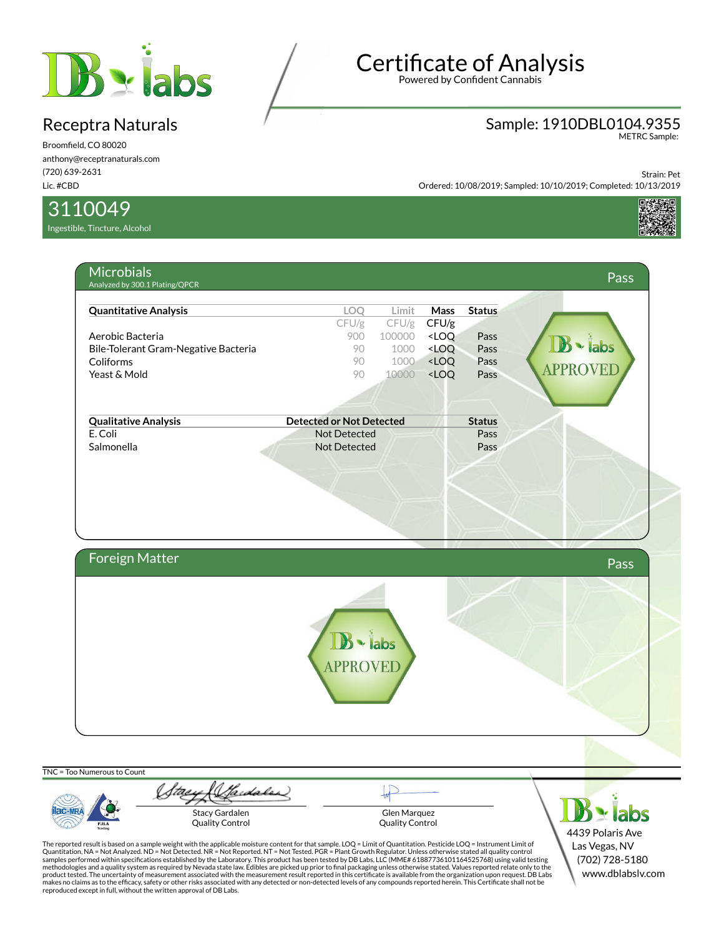

Broomfield, CO 80020 anthony@receptranaturals.com (720) 639-2631 Lic. #CBD

3110049

Ingestible, Tincture, Alcohol

# Certificate of Analysis

Powered by Confident Cannabis

# Sample: 1910DBL0104.9355 METRC Sample:

Strain: Pet Ordered: 10/08/2019; Sampled: 10/10/2019; Completed: 10/13/2019



| <b>Quantitative Analysis</b>         | LOQ                             | Limit                                                                   | <b>Mass</b>                                          | <b>Status</b> |                 |
|--------------------------------------|---------------------------------|-------------------------------------------------------------------------|------------------------------------------------------|---------------|-----------------|
|                                      | CFU/g                           | $CFU/g$ CFU/g                                                           |                                                      |               |                 |
| Aerobic Bacteria                     | 900                             | 100000 <loq< th=""><th></th><th>Pass</th><th></th></loq<>               |                                                      | Pass          |                 |
| Bile-Tolerant Gram-Negative Bacteria | 90                              |                                                                         | 1000 <loq< th=""><th>Pass</th><th>· labs</th></loq<> | Pass          | · labs          |
| Coliforms                            | 90                              |                                                                         | 1000 <loq< th=""><th>Pass</th><th></th></loq<>       | Pass          |                 |
| Yeast & Mold                         | 90                              | 10000 <loq< th=""><th></th><th>Pass</th><th><b>APPROVEL</b></th></loq<> |                                                      | Pass          | <b>APPROVEL</b> |
|                                      |                                 |                                                                         |                                                      |               |                 |
| <b>Qualitative Analysis</b>          | <b>Detected or Not Detected</b> |                                                                         |                                                      | <b>Status</b> |                 |
| E. Coli                              | <b>Not Detected</b>             |                                                                         |                                                      | Pass          |                 |
| Salmonella                           | <b>Not Detected</b>             |                                                                         |                                                      | Pass          |                 |
|                                      |                                 |                                                                         |                                                      |               |                 |
| <b>Foreign Matter</b>                |                                 |                                                                         |                                                      |               | <b>Pass</b>     |

TNC = Too Numerous to Count

**Iac-MR** PJLA

Stay (Standales) Stacy Gardalen Quality Control

Glen Marquez Quality Control

 $\mathbf{B}$   $\mathbf{\cdot}$  labs 4439 Polaris Ave Las Vegas, NV (702) 728-5180 www.dblabslv.com

The reported result is based on a sample weight with the applicable moisture content for that sample. LOQ = Limit of Quantitation. Pesticide LOQ = Instrument Limit of Quantitation, NA = Not Analyzed. ND = Not Detected. NR = Not Reported. NT = Not Tested. PGR = Plant Growth Regulator. Unless otherwise stated all quality control<br>samples performed within specifications established by the L reproduced except in full, without the written approval of DB Labs.